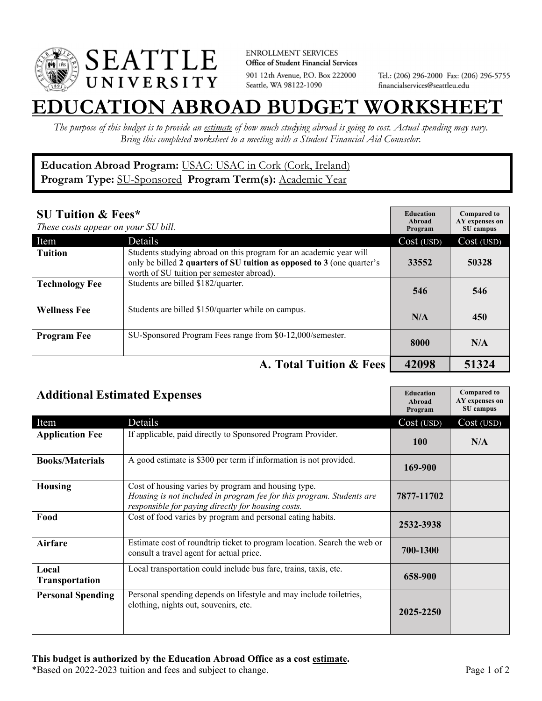

**ENROLLMENT SERVICES** Office of Student Financial Services 901 12th Avenue, P.O. Box 222000 Seattle, WA 98122-1090

Tel.: (206) 296-2000 Fax: (206) 296-5755 financialservices@seattleu.edu

## **EATION ABROAD BUDGET WORKSHEE**

*The purpose of this budget is to provide an estimate of how much studying abroad is going to cost. Actual spending may vary. Bring this completed worksheet to a meeting with a Student Financial Aid Counselor.* 

## **Education Abroad Program:** USAC: USAC in Cork (Cork, Ireland) Program Type: **SU-Sponsored** Program Term(s): **Academic Year**

| <b>SU Tuition &amp; Fees*</b><br>These costs appear on your SU bill. |                                                                                                                                                                                           | <b>Education</b><br>Abroad<br>Program | <b>Compared to</b><br>AY expenses on<br>SU campus |
|----------------------------------------------------------------------|-------------------------------------------------------------------------------------------------------------------------------------------------------------------------------------------|---------------------------------------|---------------------------------------------------|
| Item                                                                 | Details                                                                                                                                                                                   | Cost (USD)                            | Cost (USD)                                        |
| <b>Tuition</b>                                                       | Students studying abroad on this program for an academic year will<br>only be billed 2 quarters of SU tuition as opposed to 3 (one quarter's<br>worth of SU tuition per semester abroad). | 33552                                 | 50328                                             |
| <b>Technology Fee</b>                                                | Students are billed \$182/quarter.                                                                                                                                                        | 546                                   | 546                                               |
| <b>Wellness Fee</b>                                                  | Students are billed \$150/quarter while on campus.                                                                                                                                        | N/A                                   | 450                                               |
| <b>Program Fee</b>                                                   | SU-Sponsored Program Fees range from \$0-12,000/semester.                                                                                                                                 | 8000                                  | N/A                                               |
|                                                                      | A. Total Tuition & Fees                                                                                                                                                                   | 42098                                 | 51324                                             |

| <b>Additional Estimated Expenses</b> |                                                                                                                                                                                    | <b>Education</b><br>Abroad<br>Program | <b>Compared to</b><br>AY expenses on<br>SU campus |
|--------------------------------------|------------------------------------------------------------------------------------------------------------------------------------------------------------------------------------|---------------------------------------|---------------------------------------------------|
| Item                                 | Details                                                                                                                                                                            | Cost (USD)                            | Cost (USD)                                        |
| <b>Application Fee</b>               | If applicable, paid directly to Sponsored Program Provider.                                                                                                                        | <b>100</b>                            | N/A                                               |
| <b>Books/Materials</b>               | A good estimate is \$300 per term if information is not provided.                                                                                                                  | 169-900                               |                                                   |
| <b>Housing</b>                       | Cost of housing varies by program and housing type.<br>Housing is not included in program fee for this program. Students are<br>responsible for paying directly for housing costs. | 7877-11702                            |                                                   |
| Food                                 | Cost of food varies by program and personal eating habits.                                                                                                                         | 2532-3938                             |                                                   |
| Airfare                              | Estimate cost of roundtrip ticket to program location. Search the web or<br>consult a travel agent for actual price.                                                               | 700-1300                              |                                                   |
| Local<br>Transportation              | Local transportation could include bus fare, trains, taxis, etc.                                                                                                                   | 658-900                               |                                                   |
| <b>Personal Spending</b>             | Personal spending depends on lifestyle and may include toiletries,<br>clothing, nights out, souvenirs, etc.                                                                        | 2025-2250                             |                                                   |

\*Based on 2022-2023 tuition and fees and subject to change. Page 1 of 2